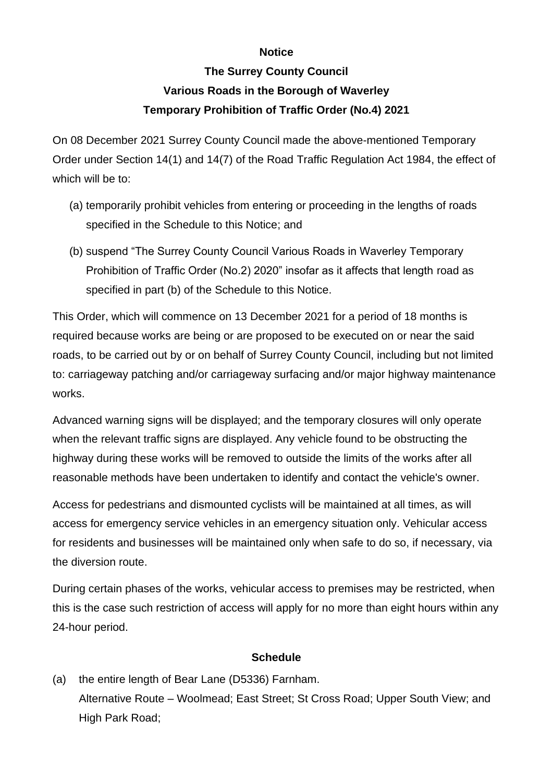## **Notice**

## **The Surrey County Council Various Roads in the Borough of Waverley Temporary Prohibition of Traffic Order (No.4) 2021**

On 08 December 2021 Surrey County Council made the above-mentioned Temporary Order under Section 14(1) and 14(7) of the Road Traffic Regulation Act 1984, the effect of which will be to:

- (a) temporarily prohibit vehicles from entering or proceeding in the lengths of roads specified in the Schedule to this Notice; and
- (b) suspend "The Surrey County Council Various Roads in Waverley Temporary Prohibition of Traffic Order (No.2) 2020" insofar as it affects that length road as specified in part (b) of the Schedule to this Notice.

This Order, which will commence on 13 December 2021 for a period of 18 months is required because works are being or are proposed to be executed on or near the said roads, to be carried out by or on behalf of Surrey County Council, including but not limited to: carriageway patching and/or carriageway surfacing and/or major highway maintenance works.

Advanced warning signs will be displayed; and the temporary closures will only operate when the relevant traffic signs are displayed. Any vehicle found to be obstructing the highway during these works will be removed to outside the limits of the works after all reasonable methods have been undertaken to identify and contact the vehicle's owner.

Access for pedestrians and dismounted cyclists will be maintained at all times, as will access for emergency service vehicles in an emergency situation only. Vehicular access for residents and businesses will be maintained only when safe to do so, if necessary, via the diversion route.

During certain phases of the works, vehicular access to premises may be restricted, when this is the case such restriction of access will apply for no more than eight hours within any 24-hour period.

## **Schedule**

(a) the entire length of Bear Lane (D5336) Farnham. Alternative Route – Woolmead; East Street; St Cross Road; Upper South View; and High Park Road;